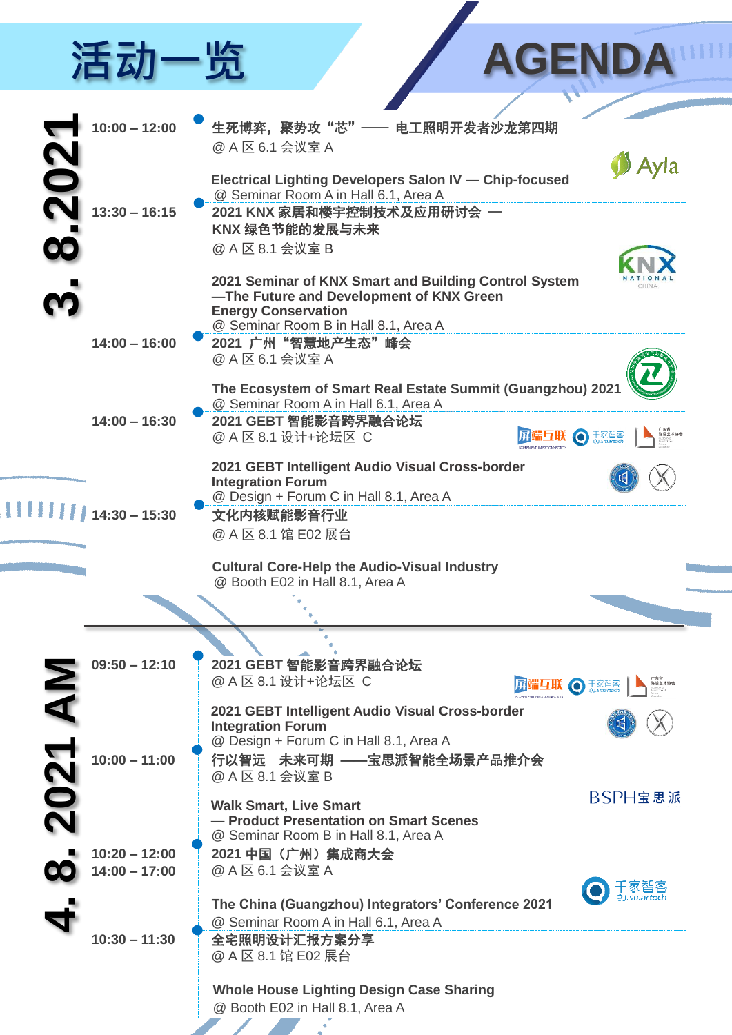## 活动一览 AGENDA

| $10:00 - 12:00$                    | 生死博弈, 聚势攻"芯"一<br>- 电工照明开发者沙龙第四期                                                    |
|------------------------------------|------------------------------------------------------------------------------------|
|                                    | @ A 区 6.1 会议室 A                                                                    |
|                                    |                                                                                    |
| $\mathbf{S}$                       | <b>Electrical Lighting Developers Salon IV - Chip-focused</b>                      |
|                                    | @ Seminar Room A in Hall 6.1, Area A                                               |
| $13:30 - 16:15$                    | 2021 KNX 家居和楼宇控制技术及应用研讨会 —                                                         |
|                                    | KNX 绿色节能的发展与未来                                                                     |
|                                    | @ A 区 8.1 会议室 B                                                                    |
|                                    | 2021 Seminar of KNX Smart and Building Control System                              |
|                                    | -The Future and Development of KNX Green                                           |
|                                    | <b>Energy Conservation</b>                                                         |
|                                    | @ Seminar Room B in Hall 8.1, Area A                                               |
| $14:00 - 16:00$                    | 2021 广州"智慧地产生态"峰会<br>@ A 区 6.1 会议室 A                                               |
|                                    |                                                                                    |
|                                    | The Ecosystem of Smart Real Estate Summit (Guangzhou) 2021                         |
|                                    | @ Seminar Room A in Hall 6.1, Area A                                               |
| $14:00 - 16:30$                    | 2021 GEBT 智能影音跨界融合论坛<br>◯ 千家智客<br>陈设艺术协会<br>@ A 区 8.1 设计+论坛区 C                     |
|                                    |                                                                                    |
|                                    | 2021 GEBT Intelligent Audio Visual Cross-border                                    |
|                                    | <b>Integration Forum</b><br>@ Design + Forum C in Hall 8.1, Area A                 |
| $14:30 - 15:30$                    | 文化内核赋能影音行业                                                                         |
|                                    | @ A 区 8.1 馆 E02 展台                                                                 |
|                                    |                                                                                    |
|                                    | <b>Cultural Core-Help the Audio-Visual Industry</b>                                |
|                                    | @ Booth E02 in Hall 8.1, Area A                                                    |
|                                    |                                                                                    |
|                                    |                                                                                    |
|                                    |                                                                                    |
| $09:50 - 12:10$                    | 2021 GEBT 智能影音跨界融合论坛                                                               |
|                                    | @ A 区 8.1 设计+论坛区 C<br>千家智客                                                         |
| AN                                 | 2021 GEBT Intelligent Audio Visual Cross-border                                    |
|                                    | <b>Integration Forum</b>                                                           |
|                                    | @ Design + Forum C in Hall 8.1, Area A                                             |
| 2021<br>$10:00 - 11:00$            | 行以智远 未来可期 ——宝思派智能全场景产品推介会<br>@ A 区 8.1 会议室 B                                       |
|                                    |                                                                                    |
|                                    | BSPH宝思派<br><b>Walk Smart, Live Smart</b>                                           |
|                                    | - Product Presentation on Smart Scenes                                             |
|                                    | @ Seminar Room B in Hall 8.1, Area A                                               |
| $10:20 - 12:00$<br>$14:00 - 17:00$ | 2021 中国 (广州) 集成商大会<br>@ A 区 6.1 会议室 A                                              |
|                                    |                                                                                    |
|                                    | The China (Guangzhou) Integrators' Conference 2021                                 |
|                                    | @ Seminar Room A in Hall 6.1, Area A                                               |
| $10:30 - 11:30$                    | 全宅照明设计汇报方案分享                                                                       |
|                                    | @ A 区 8.1 馆 E02 展台                                                                 |
|                                    |                                                                                    |
|                                    | <b>Whole House Lighting Design Case Sharing</b><br>@ Booth E02 in Hall 8.1, Area A |
|                                    |                                                                                    |
|                                    |                                                                                    |